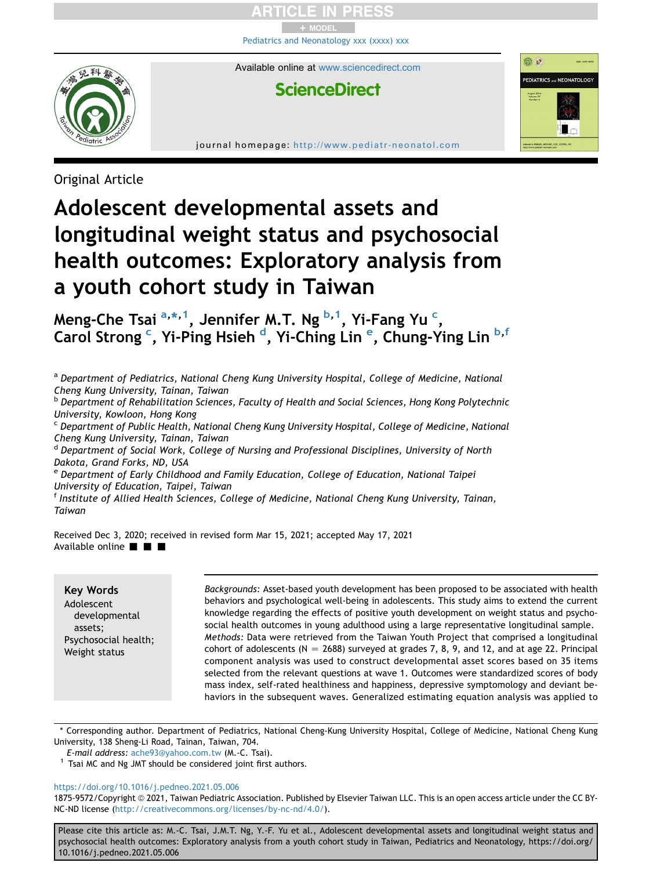+ MODEL [Pediatrics and Neonatology xxx \(xxxx\) xxx](https://doi.org/10.1016/j.pedneo.2021.05.006)

Available online at [www.sciencedirect.com](www.sciencedirect.com/science/journal/18759572)

<u>ම ල</u>

**PEDIATRICS and NEONATOLOGY** 

# **ScienceDirect**

journal homepage: <http://www.pediatr-neonatol.com>

Original Article

# Adolescent developmental assets and longitudinal weight status and psychosocial health outcomes: Exploratory analysis from a youth cohort study in Taiwan

Meng-Che Ts[a](#page-0-0)i <sup>a,[\\*](#page-0-1), 1</sup>, Jennifer M.T. Ng <sup>[b](#page-0-3), 1</sup>, Yi-Fang Yu <sup>[c](#page-0-4)</sup>, Carol Strong <sup>[c](#page-0-4)</sup>, Yi-Ping Hsieh <sup>[d](#page-0-5)</sup>, Yi-Ching Lin <sup>[e](#page-0-6)</sup>, Chung-Ying Lin <sup>[b](#page-0-3),[f](#page-0-7)</sup>

<span id="page-0-0"></span>a Department of Pediatrics, National Cheng Kung University Hospital, College of Medicine, National Cheng Kung University, Tainan, Taiwan

<span id="page-0-3"></span><sup>b</sup> Department of Rehabilitation Sciences, Faculty of Health and Social Sciences, Hong Kong Polytechnic University, Kowloon, Hong Kong

<span id="page-0-4"></span><sup>c</sup> Department of Public Health, National Cheng Kung University Hospital, College of Medicine, National Cheng Kung University, Tainan, Taiwan

<span id="page-0-5"></span><sup>d</sup> Department of Social Work, College of Nursing and Professional Disciplines, University of North Dakota, Grand Forks, ND, USA

<span id="page-0-6"></span><sup>e</sup> Department of Early Childhood and Family Education, College of Education, National Taipei University of Education, Taipei, Taiwan

<span id="page-0-7"></span><sup>f</sup> Institute of Allied Health Sciences, College of Medicine, National Cheng Kung University, Tainan, Taiwan

Received Dec 3, 2020; received in revised form Mar 15, 2021; accepted May 17, 2021 Available online  $\blacksquare$   $\blacksquare$ 

# Key Words

Adolescent developmental assets; Psychosocial health; Weight status

Backgrounds: Asset-based youth development has been proposed to be associated with health behaviors and psychological well-being in adolescents. This study aims to extend the current knowledge regarding the effects of positive youth development on weight status and psychosocial health outcomes in young adulthood using a large representative longitudinal sample. Methods: Data were retrieved from the Taiwan Youth Project that comprised a longitudinal cohort of adolescents ( $N = 2688$ ) surveyed at grades 7, 8, 9, and 12, and at age 22. Principal component analysis was used to construct developmental asset scores based on 35 items selected from the relevant questions at wave 1. Outcomes were standardized scores of body mass index, self-rated healthiness and happiness, depressive symptomology and deviant behaviors in the subsequent waves. Generalized estimating equation analysis was applied to

<span id="page-0-1"></span>\* Corresponding author. Department of Pediatrics, National Cheng-Kung University Hospital, College of Medicine, National Cheng Kung University, 138 Sheng-Li Road, Tainan, Taiwan, 704.

E-mail address: [ache93@yahoo.com.tw](mailto:ache93@yahoo.com.tw) (M.-C. Tsai).

<span id="page-0-2"></span> $1$  Tsai MC and Ng JMT should be considered joint first authors.

#### <https://doi.org/10.1016/j.pedneo.2021.05.006>

1875-9572/Copyright © 2021, Taiwan Pediatric Association. Published by Elsevier Taiwan LLC. This is an open access article under the CC BY-NC-ND license [\(http://creativecommons.org/licenses/by-nc-nd/4.0/\)](http://creativecommons.org/licenses/by-nc-nd/4.0/).

Please cite this article as: M.-C. Tsai, J.M.T. Ng, Y.-F. Yu et al., Adolescent developmental assets and longitudinal weight status and psychosocial health outcomes: Exploratory analysis from a youth cohort study in Taiwan, Pediatrics and Neonatology, https://doi.org/ 10.1016/j.pedneo.2021.05.006

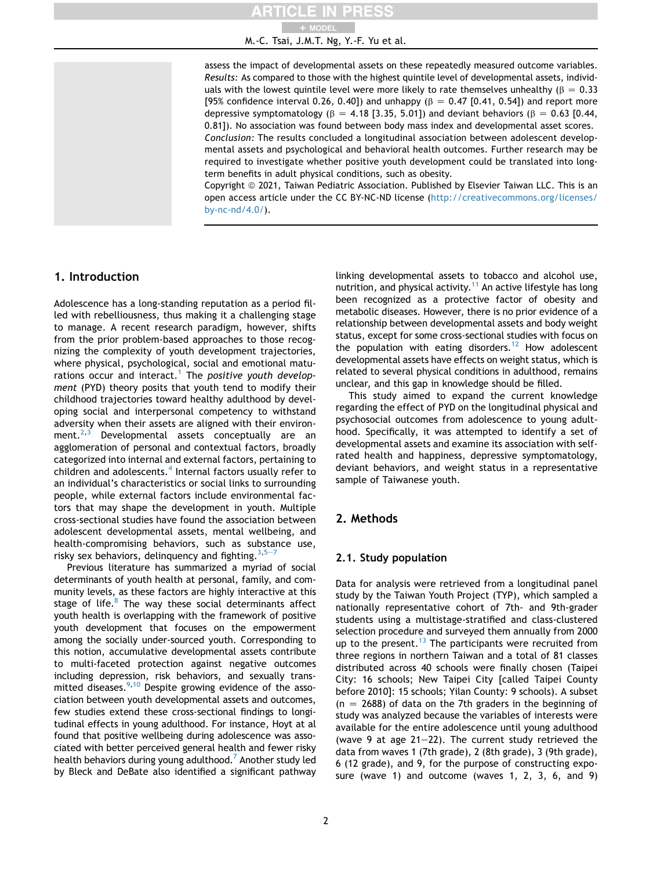# + MODEL

M.-C. Tsai, J.M.T. Ng, Y.-F. Yu et al.

assess the impact of developmental assets on these repeatedly measured outcome variables. Results: As compared to those with the highest quintile level of developmental assets, individuals with the lowest quintile level were more likely to rate themselves unhealthy ( $\beta = 0.33$ ) [95% confidence interval 0.26, 0.40]) and unhappy ( $\beta = 0.47$  [0.41, 0.54]) and report more depressive symptomatology ( $\beta = 4.18$  [3.35, 5.01]) and deviant behaviors ( $\beta = 0.63$  [0.44, 0.81]). No association was found between body mass index and developmental asset scores. Conclusion: The results concluded a longitudinal association between adolescent developmental assets and psychological and behavioral health outcomes. Further research may be required to investigate whether positive youth development could be translated into longterm benefits in adult physical conditions, such as obesity.

Copyright © 2021, Taiwan Pediatric Association. Published by Elsevier Taiwan LLC. This is an open access article under the CC BY-NC-ND license [\(http://creativecommons.org/licenses/](http://creativecommons.org/licenses/by-nc-nd/4.0/) [by-nc-nd/4.0/](http://creativecommons.org/licenses/by-nc-nd/4.0/)).

# 1. Introduction

Adolescence has a long-standing reputation as a period filled with rebelliousness, thus making it a challenging stage to manage. A recent research paradigm, however, shifts from the prior problem-based approaches to those recognizing the complexity of youth development trajectories, where physical, psychological, social and emotional matu-rations occur and interact.<sup>[1](#page-5-0)</sup> The positive youth development (PYD) theory posits that youth tend to modify their childhood trajectories toward healthy adulthood by developing social and interpersonal competency to withstand adversity when their assets are aligned with their environment. $2,3$  $2,3$  Developmental assets conceptually are an agglomeration of personal and contextual factors, broadly categorized into internal and external factors, pertaining to children and adolescents. $4$  Internal factors usually refer to an individual's characteristics or social links to surrounding people, while external factors include environmental factors that may shape the development in youth. Multiple cross-sectional studies have found the association between adolescent developmental assets, mental wellbeing, and health-compromising behaviors, such as substance use, risky sex behaviors, delinquency and fighting.  $3,5 3,5 3,5 3,5-$ 

Previous literature has summarized a myriad of social determinants of youth health at personal, family, and community levels, as these factors are highly interactive at this stage of life. $8$  The way these social determinants affect youth health is overlapping with the framework of positive youth development that focuses on the empowerment among the socially under-sourced youth. Corresponding to this notion, accumulative developmental assets contribute to multi-faceted protection against negative outcomes including depression, risk behaviors, and sexually transmitted diseases. $9,10$  $9,10$  Despite growing evidence of the association between youth developmental assets and outcomes, few studies extend these cross-sectional findings to longitudinal effects in young adulthood. For instance, Hoyt at al found that positive wellbeing during adolescence was associated with better perceived general health and fewer risky health behaviors during young adulthood.<sup>[7](#page-6-7)</sup> Another study led by Bleck and DeBate also identified a significant pathway linking developmental assets to tobacco and alcohol use, nutrition, and physical activity.<sup>11</sup> An active lifestyle has long been recognized as a protective factor of obesity and metabolic diseases. However, there is no prior evidence of a relationship between developmental assets and body weight status, except for some cross-sectional studies with focus on the population with eating disorders.<sup>[12](#page-6-9)</sup> How adolescent developmental assets have effects on weight status, which is related to several physical conditions in adulthood, remains unclear, and this gap in knowledge should be filled.

This study aimed to expand the current knowledge regarding the effect of PYD on the longitudinal physical and psychosocial outcomes from adolescence to young adulthood. Specifically, it was attempted to identify a set of developmental assets and examine its association with selfrated health and happiness, depressive symptomatology, deviant behaviors, and weight status in a representative sample of Taiwanese youth.

# 2. Methods

#### 2.1. Study population

Data for analysis were retrieved from a longitudinal panel study by the Taiwan Youth Project (TYP), which sampled a nationally representative cohort of 7th- and 9th-grader students using a multistage-stratified and class-clustered selection procedure and surveyed them annually from 2000 up to the present.<sup>[13](#page-6-10)</sup> The participants were recruited from three regions in northern Taiwan and a total of 81 classes distributed across 40 schools were finally chosen (Taipei City: 16 schools; New Taipei City [called Taipei County before 2010]: 15 schools; Yilan County: 9 schools). A subset  $(n = 2688)$  of data on the 7th graders in the beginning of study was analyzed because the variables of interests were available for the entire adolescence until young adulthood (wave 9 at age  $21-22$ ). The current study retrieved the data from waves 1 (7th grade), 2 (8th grade), 3 (9th grade), 6 (12 grade), and 9, for the purpose of constructing exposure (wave 1) and outcome (waves 1, 2, 3, 6, and 9)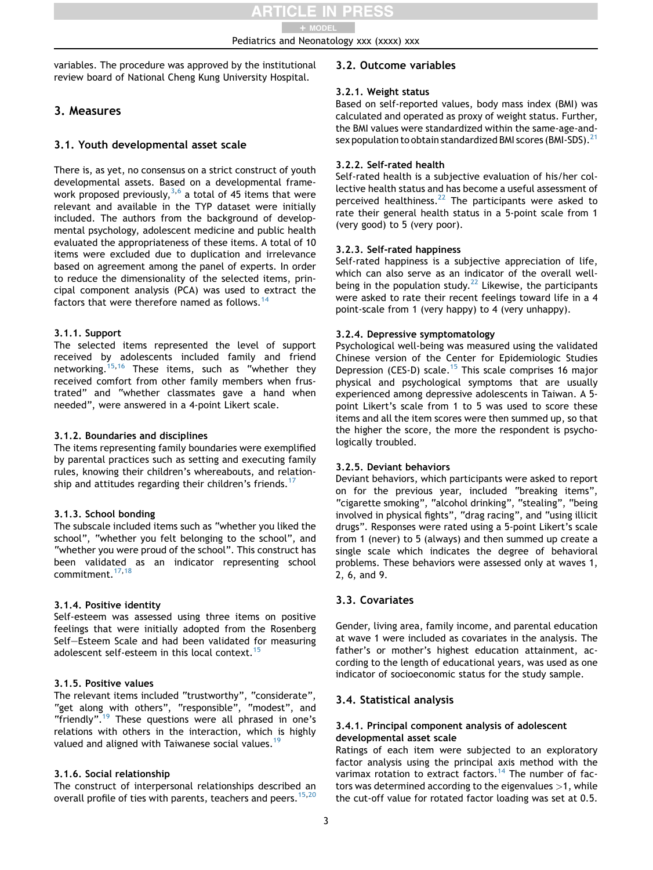Pediatrics and Neonatology xxx (xxxx) xxx + MODEL

variables. The procedure was approved by the institutional review board of National Cheng Kung University Hospital.

# 3. Measures

#### 3.1. Youth developmental asset scale

There is, as yet, no consensus on a strict construct of youth developmental assets. Based on a developmental framework proposed previously,  $3,6$  $3,6$  $3,6$  a total of 45 items that were relevant and available in the TYP dataset were initially included. The authors from the background of developmental psychology, adolescent medicine and public health evaluated the appropriateness of these items. A total of 10 items were excluded due to duplication and irrelevance based on agreement among the panel of experts. In order to reduce the dimensionality of the selected items, principal component analysis (PCA) was used to extract the factors that were therefore named as follows.<sup>1</sup>

#### 3.1.1. Support

The selected items represented the level of support received by adolescents included family and friend networking.<sup>[15,](#page-6-13)[16](#page-6-14)</sup> These items, such as "whether they received comfort from other family members when frustrated" and "whether classmates gave a hand when needed", were answered in a 4-point Likert scale.

#### 3.1.2. Boundaries and disciplines

The items representing family boundaries were exemplified by parental practices such as setting and executing family rules, knowing their children's whereabouts, and relation-ship and attitudes regarding their children's friends.<sup>[17](#page-6-15)</sup>

#### 3.1.3. School bonding

The subscale included items such as "whether you liked the school", "whether you felt belonging to the school", and "whether you were proud of the school". This construct has been validated as an indicator representing school commitment.<sup>[17](#page-6-15)[,18](#page-6-16)</sup>

#### 3.1.4. Positive identity

Self-esteem was assessed using three items on positive feelings that were initially adopted from the Rosenberg Self-Esteem Scale and had been validated for measuring adolescent self-esteem in this local context.<sup>[15](#page-6-13)</sup>

#### 3.1.5. Positive values

The relevant items included "trustworthy", "considerate", "get along with others", "responsible", "modest", and "friendly".<sup>[19](#page-6-17)</sup> These questions were all phrased in one's relations with others in the interaction, which is highly valued and aligned with Taiwanese social values.<sup>[19](#page-6-17)</sup>

# 3.1.6. Social relationship

The construct of interpersonal relationships described an overall profile of ties with parents, teachers and peers.<sup>[15](#page-6-13)[,20](#page-6-18)</sup>

# 3.2. Outcome variables

#### 3.2.1. Weight status

Based on self-reported values, body mass index (BMI) was calculated and operated as proxy of weight status. Further, the BMI values were standardized within the same-age-and-sex population to obtain standardized BMI scores (BMI-SDS).<sup>[21](#page-6-19)</sup>

#### 3.2.2. Self-rated health

Self-rated health is a subjective evaluation of his/her collective health status and has become a useful assessment of perceived healthiness.<sup>[22](#page-6-20)</sup> The participants were asked to rate their general health status in a 5-point scale from 1 (very good) to 5 (very poor).

#### 3.2.3. Self-rated happiness

Self-rated happiness is a subjective appreciation of life, which can also serve as an indicator of the overall well-being in the population study.<sup>[22](#page-6-20)</sup> Likewise, the participants were asked to rate their recent feelings toward life in a 4 point-scale from 1 (very happy) to 4 (very unhappy).

#### 3.2.4. Depressive symptomatology

Psychological well-being was measured using the validated Chinese version of the Center for Epidemiologic Studies Depression (CES-D) scale.<sup>[15](#page-6-13)</sup> This scale comprises 16 major physical and psychological symptoms that are usually experienced among depressive adolescents in Taiwan. A 5 point Likert's scale from 1 to 5 was used to score these items and all the item scores were then summed up, so that the higher the score, the more the respondent is psychologically troubled.

#### 3.2.5. Deviant behaviors

Deviant behaviors, which participants were asked to report on for the previous year, included "breaking items", "cigarette smoking", "alcohol drinking", "stealing", "being involved in physical fights", "drag racing", and "using illicit drugs". Responses were rated using a 5-point Likert's scale from 1 (never) to 5 (always) and then summed up create a single scale which indicates the degree of behavioral problems. These behaviors were assessed only at waves 1, 2, 6, and 9.

# 3.3. Covariates

Gender, living area, family income, and parental education at wave 1 were included as covariates in the analysis. The father's or mother's highest education attainment, according to the length of educational years, was used as one indicator of socioeconomic status for the study sample.

# 3.4. Statistical analysis

#### 3.4.1. Principal component analysis of adolescent developmental asset scale

Ratings of each item were subjected to an exploratory factor analysis using the principal axis method with the varimax rotation to extract factors.<sup>[14](#page-6-12)</sup> The number of factors was determined according to the eigenvalues  $>1$ , while the cut-off value for rotated factor loading was set at 0.5.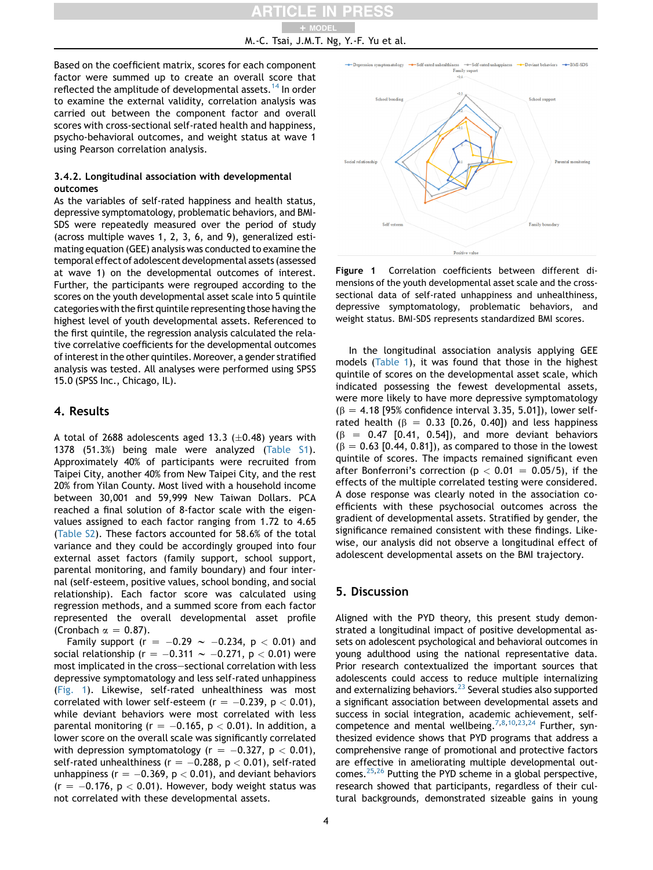Based on the coefficient matrix, scores for each component factor were summed up to create an overall score that reflected the amplitude of developmental assets.<sup>[14](#page-6-12)</sup> In order to examine the external validity, correlation analysis was carried out between the component factor and overall scores with cross-sectional self-rated health and happiness, psycho-behavioral outcomes, and weight status at wave 1 using Pearson correlation analysis.

#### 3.4.2. Longitudinal association with developmental outcomes

As the variables of self-rated happiness and health status, depressive symptomatology, problematic behaviors, and BMI-SDS were repeatedly measured over the period of study (across multiple waves 1, 2, 3, 6, and 9), generalized estimating equation (GEE) analysis was conducted to examine the temporal effect of adolescent developmental assets (assessed at wave 1) on the developmental outcomes of interest. Further, the participants were regrouped according to the scores on the youth developmental asset scale into 5 quintile categories with the first quintile representing those having the highest level of youth developmental assets. Referenced to the first quintile, the regression analysis calculated the relative correlative coefficients for the developmental outcomes of interest in the other quintiles. Moreover, a gender stratified analysis was tested. All analyses were performed using SPSS 15.0 (SPSS Inc., Chicago, IL).

# 4. Results

A total of 2688 adolescents aged 13.3  $(\pm 0.48)$  years with 1378 (51.3%) being male were analyzed (Table S1). Approximately 40% of participants were recruited from Taipei City, another 40% from New Taipei City, and the rest 20% from Yilan County. Most lived with a household income between 30,001 and 59,999 New Taiwan Dollars. PCA reached a final solution of 8-factor scale with the eigenvalues assigned to each factor ranging from 1.72 to 4.65 (Table S2). These factors accounted for 58.6% of the total variance and they could be accordingly grouped into four external asset factors (family support, school support, parental monitoring, and family boundary) and four internal (self-esteem, positive values, school bonding, and social relationship). Each factor score was calculated using regression methods, and a summed score from each factor represented the overall developmental asset profile (Cronbach  $\alpha = 0.87$ ).

Family support (r =  $-0.29 \sim -0.234$ , p < 0.01) and social relationship (r =  $-0.311 \sim -0.271$ , p < 0.01) were most implicated in the cross-sectional correlation with less depressive symptomatology and less self-rated unhappiness ([Fig. 1](#page-3-0)). Likewise, self-rated unhealthiness was most correlated with lower self-esteem ( $r = -0.239$ ,  $p < 0.01$ ), while deviant behaviors were most correlated with less parental monitoring ( $r = -0.165$ ,  $p < 0.01$ ). In addition, a lower score on the overall scale was significantly correlated with depression symptomatology ( $r = -0.327$ ,  $p < 0.01$ ), self-rated unhealthiness ( $r = -0.288$ ,  $p < 0.01$ ), self-rated unhappiness ( $r = -0.369$ ,  $p < 0.01$ ), and deviant behaviors  $(r = -0.176, p < 0.01)$ . However, body weight status was not correlated with these developmental assets.

<span id="page-3-0"></span>

Figure 1 Correlation coefficients between different dimensions of the youth developmental asset scale and the crosssectional data of self-rated unhappiness and unhealthiness, depressive symptomatology, problematic behaviors, and weight status. BMI-SDS represents standardized BMI scores.

In the longitudinal association analysis applying GEE models [\(Table 1](#page-4-0)), it was found that those in the highest quintile of scores on the developmental asset scale, which indicated possessing the fewest developmental assets, were more likely to have more depressive symptomatology  $(\beta = 4.18 \, [95\% \, confidence \, interval \, 3.35, \, 5.01]$ ), lower selfrated health ( $\beta$  = 0.33 [0.26, 0.40]) and less happiness  $(\beta = 0.47$  [0.41, 0.54]), and more deviant behaviors  $(6 = 0.63$  [0.44, 0.81]), as compared to those in the lowest quintile of scores. The impacts remained significant even after Bonferroni's correction ( $p < 0.01 = 0.05/5$ ), if the effects of the multiple correlated testing were considered. A dose response was clearly noted in the association coefficients with these psychosocial outcomes across the gradient of developmental assets. Stratified by gender, the significance remained consistent with these findings. Likewise, our analysis did not observe a longitudinal effect of adolescent developmental assets on the BMI trajectory.

# 5. Discussion

Aligned with the PYD theory, this present study demonstrated a longitudinal impact of positive developmental assets on adolescent psychological and behavioral outcomes in young adulthood using the national representative data. Prior research contextualized the important sources that adolescents could access to reduce multiple internalizing and externalizing behaviors.<sup>[23](#page-6-21)</sup> Several studies also supported a significant association between developmental assets and success in social integration, academic achievement, self-competence and mental wellbeing.<sup>[7](#page-6-7),[8](#page-6-4)[,10](#page-6-6)[,23](#page-6-21),[24](#page-6-22)</sup> Further, synthesized evidence shows that PYD programs that address a comprehensive range of promotional and protective factors are effective in ameliorating multiple developmental out-comes.<sup>25,[26](#page-6-24)</sup> Putting the PYD scheme in a global perspective, research showed that participants, regardless of their cultural backgrounds, demonstrated sizeable gains in young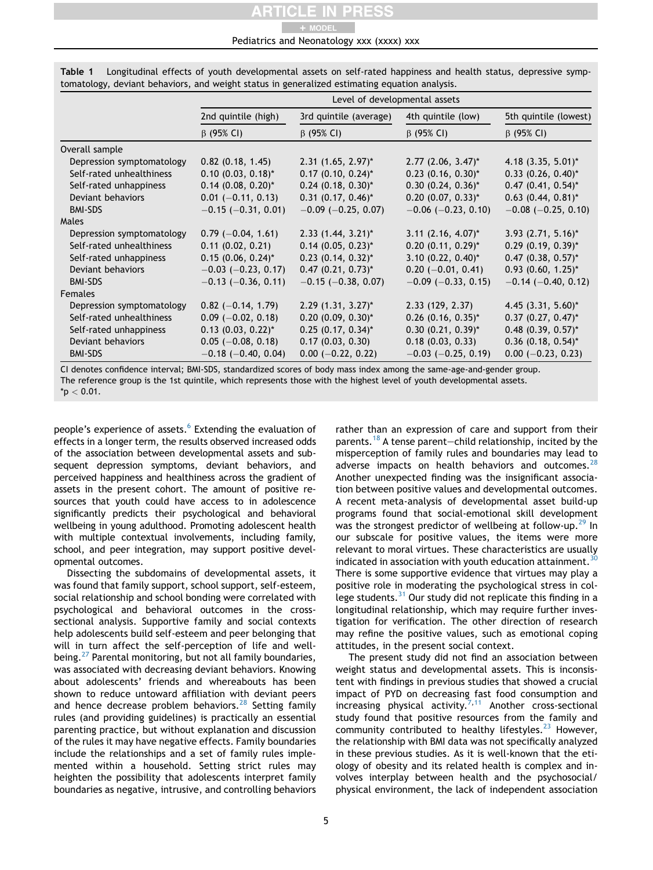+ MODEL

#### Pediatrics and Neonatology xxx (xxxx) xxx

|                           | Level of developmental assets    |                                  |                                  |                           |
|---------------------------|----------------------------------|----------------------------------|----------------------------------|---------------------------|
|                           | 2nd quintile (high)              | 3rd quintile (average)           | 4th quintile (low)               | 5th quintile (lowest)     |
|                           | $\beta$ (95% CI)                 | $\beta$ (95% CI)                 | $\beta$ (95% CI)                 | $\beta$ (95% CI)          |
| Overall sample            |                                  |                                  |                                  |                           |
| Depression symptomatology | $0.82$ (0.18, 1.45)              | $2.31$ (1.65, 2.97) <sup>*</sup> | $2.77$ (2.06, 3.47) <sup>*</sup> | 4.18 $(3.35, 5.01)^{*}$   |
| Self-rated unhealthiness  | $0.10$ (0.03, 0.18)*             | $0.17$ (0.10, 0.24) <sup>*</sup> | $0.23$ (0.16, 0.30)*             | $0.33$ $(0.26, 0.40)^*$   |
| Self-rated unhappiness    | $0.14$ (0.08, 0.20)*             | $0.24$ (0.18, 0.30)*             | $0.30$ $(0.24, 0.36)^*$          | $0.47$ $(0.41, 0.54)^*$   |
| Deviant behaviors         | $0.01$ (-0.11, 0.13)             | $0.31$ (0.17, 0.46)*             | $0.20$ (0.07, 0.33)*             | $0.63$ $(0.44, 0.81)^*$   |
| <b>BMI-SDS</b>            | $-0.15$ ( $-0.31$ , 0.01)        | $-0.09$ ( $-0.25, 0.07$ )        | $-0.06$ ( $-0.23$ , 0.10)        | $-0.08$ ( $-0.25$ , 0.10) |
| Males                     |                                  |                                  |                                  |                           |
| Depression symptomatology | $0.79$ (-0.04, 1.61)             | $2.33$ (1.44, 3.21) <sup>*</sup> | $3.11$ (2.16, 4.07) <sup>*</sup> | $3.93$ (2.71, 5.16)*      |
| Self-rated unhealthiness  | $0.11$ $(0.02, 0.21)$            | $0.14$ (0.05, 0.23) <sup>*</sup> | $0.20$ (0.11, 0.29)*             | $0.29$ $(0.19, 0.39)^{*}$ |
| Self-rated unhappiness    | $0.15$ (0.06, 0.24)*             | $0.23$ $(0.14, 0.32)^*$          | $3.10$ (0.22, 0.40)*             | $0.47$ $(0.38, 0.57)^*$   |
| Deviant behaviors         | $-0.03$ ( $-0.23$ , 0.17)        | $0.47$ $(0.21, 0.73)^*$          | $0.20$ (-0.01, 0.41)             | $0.93$ $(0.60, 1.25)^*$   |
| <b>BMI-SDS</b>            | $-0.13$ ( $-0.36$ , 0.11)        | $-0.15$ ( $-0.38$ , 0.07)        | $-0.09$ ( $-0.33$ , 0.15)        | $-0.14$ ( $-0.40$ , 0.12) |
| <b>Females</b>            |                                  |                                  |                                  |                           |
| Depression symptomatology | $0.82$ (-0.14, 1.79)             | $2.29$ (1.31, 3.27) <sup>*</sup> | 2.33(129, 2.37)                  | 4.45 $(3.31, 5.60)^*$     |
| Self-rated unhealthiness  | $0.09$ (-0.02, 0.18)             | $0.20$ $(0.09, 0.30)^*$          | $0.26$ (0.16, 0.35)*             | $0.37$ $(0.27, 0.47)^*$   |
| Self-rated unhappiness    | $0.13$ (0.03, 0.22) <sup>*</sup> | $0.25$ (0.17, 0.34)*             | $0.30$ $(0.21, 0.39)^*$          | $0.48$ (0.39, 0.57)*      |
| Deviant behaviors         | $0.05$ (-0.08, 0.18)             | 0.17(0.03, 0.30)                 | 0.18(0.03, 0.33)                 | $0.36$ (0.18, 0.54)*      |
| <b>BMI-SDS</b>            | $-0.18$ ( $-0.40$ , 0.04)        | $0.00$ (-0.22, 0.22)             | $-0.03$ ( $-0.25$ , 0.19)        | $0.00$ (-0.23, 0.23)      |

<span id="page-4-0"></span>Table 1 Longitudinal effects of youth developmental assets on self-rated happiness and health status, depressive symptomatology, deviant behaviors, and weight status in generalized estimating equation analysis.

CI denotes confidence interval; BMI-SDS, standardized scores of body mass index among the same-age-and-gender group. The reference group is the 1st quintile, which represents those with the highest level of youth developmental assets.  $*$ p  $< 0.01$ .

people's experience of assets.<sup>[6](#page-6-11)</sup> Extending the evaluation of effects in a longer term, the results observed increased odds of the association between developmental assets and subsequent depression symptoms, deviant behaviors, and perceived happiness and healthiness across the gradient of assets in the present cohort. The amount of positive resources that youth could have access to in adolescence significantly predicts their psychological and behavioral wellbeing in young adulthood. Promoting adolescent health with multiple contextual involvements, including family, school, and peer integration, may support positive developmental outcomes.

Dissecting the subdomains of developmental assets, it was found that family support, school support, self-esteem, social relationship and school bonding were correlated with psychological and behavioral outcomes in the crosssectional analysis. Supportive family and social contexts help adolescents build self-esteem and peer belonging that will in turn affect the self-perception of life and well-being.<sup>[27](#page-6-25)</sup> Parental monitoring, but not all family boundaries, was associated with decreasing deviant behaviors. Knowing about adolescents' friends and whereabouts has been shown to reduce untoward affiliation with deviant peers and hence decrease problem behaviors.<sup>[28](#page-6-26)</sup> Setting family rules (and providing guidelines) is practically an essential parenting practice, but without explanation and discussion of the rules it may have negative effects. Family boundaries include the relationships and a set of family rules implemented within a household. Setting strict rules may heighten the possibility that adolescents interpret family boundaries as negative, intrusive, and controlling behaviors rather than an expression of care and support from their parents.<sup>[18](#page-6-16)</sup> A tense parent-child relationship, incited by the misperception of family rules and boundaries may lead to adverse impacts on health behaviors and outcomes. $^{28}$  $^{28}$  $^{28}$ Another unexpected finding was the insignificant association between positive values and developmental outcomes. A recent meta-analysis of developmental asset build-up programs found that social-emotional skill development was the strongest predictor of wellbeing at follow-up.<sup>[29](#page-6-27)</sup> In our subscale for positive values, the items were more relevant to moral virtues. These characteristics are usually indicated in association with youth education attainment.<sup>3</sup> There is some supportive evidence that virtues may play a positive role in moderating the psychological stress in college students. $31$  Our study did not replicate this finding in a longitudinal relationship, which may require further investigation for verification. The other direction of research may refine the positive values, such as emotional coping attitudes, in the present social context.

The present study did not find an association between weight status and developmental assets. This is inconsistent with findings in previous studies that showed a crucial impact of PYD on decreasing fast food consumption and increasing physical activity.<sup>[7](#page-6-7),[11](#page-6-8)</sup> Another cross-sectional study found that positive resources from the family and community contributed to healthy lifestyles.<sup>[23](#page-6-21)</sup> However, the relationship with BMI data was not specifically analyzed in these previous studies. As it is well-known that the etiology of obesity and its related health is complex and involves interplay between health and the psychosocial/ physical environment, the lack of independent association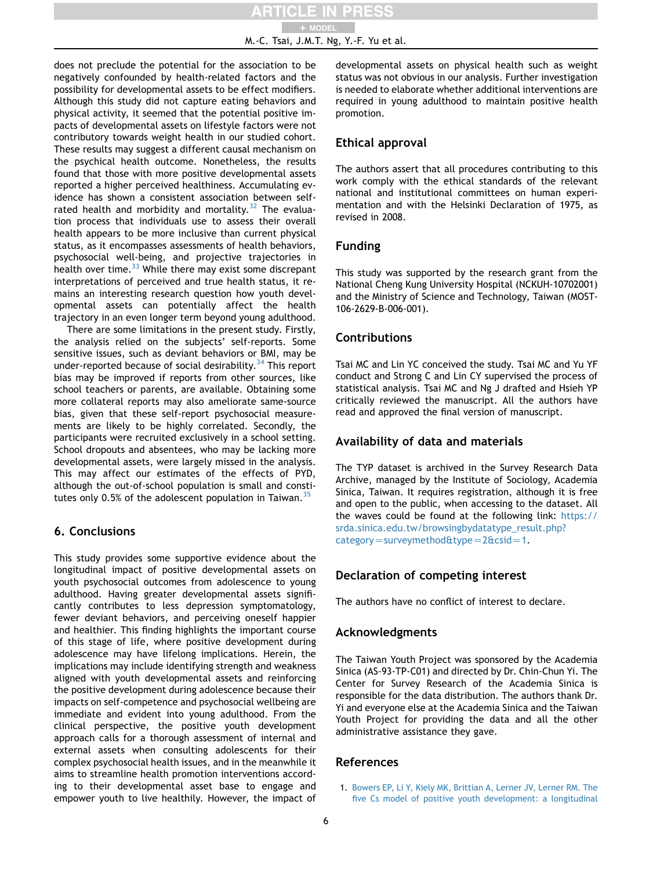does not preclude the potential for the association to be negatively confounded by health-related factors and the possibility for developmental assets to be effect modifiers. Although this study did not capture eating behaviors and physical activity, it seemed that the potential positive impacts of developmental assets on lifestyle factors were not contributory towards weight health in our studied cohort. These results may suggest a different causal mechanism on the psychical health outcome. Nonetheless, the results found that those with more positive developmental assets reported a higher perceived healthiness. Accumulating evidence has shown a consistent association between selfrated health and morbidity and mortality. $32$  The evaluation process that individuals use to assess their overall health appears to be more inclusive than current physical status, as it encompasses assessments of health behaviors, psychosocial well-being, and projective trajectories in health over time. $33$  While there may exist some discrepant interpretations of perceived and true health status, it remains an interesting research question how youth developmental assets can potentially affect the health trajectory in an even longer term beyond young adulthood.

There are some limitations in the present study. Firstly, the analysis relied on the subjects' self-reports. Some sensitive issues, such as deviant behaviors or BMI, may be under-reported because of social desirability.<sup>[34](#page-6-32)</sup> This report bias may be improved if reports from other sources, like school teachers or parents, are available. Obtaining some more collateral reports may also ameliorate same-source bias, given that these self-report psychosocial measurements are likely to be highly correlated. Secondly, the participants were recruited exclusively in a school setting. School dropouts and absentees, who may be lacking more developmental assets, were largely missed in the analysis. This may affect our estimates of the effects of PYD, although the out-of-school population is small and constitutes only 0.5% of the adolescent population in Taiwan.  $35$ 

# 6. Conclusions

This study provides some supportive evidence about the longitudinal impact of positive developmental assets on youth psychosocial outcomes from adolescence to young adulthood. Having greater developmental assets significantly contributes to less depression symptomatology, fewer deviant behaviors, and perceiving oneself happier and healthier. This finding highlights the important course of this stage of life, where positive development during adolescence may have lifelong implications. Herein, the implications may include identifying strength and weakness aligned with youth developmental assets and reinforcing the positive development during adolescence because their impacts on self-competence and psychosocial wellbeing are immediate and evident into young adulthood. From the clinical perspective, the positive youth development approach calls for a thorough assessment of internal and external assets when consulting adolescents for their complex psychosocial health issues, and in the meanwhile it aims to streamline health promotion interventions according to their developmental asset base to engage and empower youth to live healthily. However, the impact of developmental assets on physical health such as weight status was not obvious in our analysis. Further investigation is needed to elaborate whether additional interventions are required in young adulthood to maintain positive health promotion.

# Ethical approval

The authors assert that all procedures contributing to this work comply with the ethical standards of the relevant national and institutional committees on human experimentation and with the Helsinki Declaration of 1975, as revised in 2008.

# Funding

This study was supported by the research grant from the National Cheng Kung University Hospital (NCKUH-10702001) and the Ministry of Science and Technology, Taiwan (MOST-106-2629-B-006-001).

# **Contributions**

Tsai MC and Lin YC conceived the study. Tsai MC and Yu YF conduct and Strong C and Lin CY supervised the process of statistical analysis. Tsai MC and Ng J drafted and Hsieh YP critically reviewed the manuscript. All the authors have read and approved the final version of manuscript.

# Availability of data and materials

The TYP dataset is archived in the Survey Research Data Archive, managed by the Institute of Sociology, Academia Sinica, Taiwan. It requires registration, although it is free and open to the public, when accessing to the dataset. All the waves could be found at the following link: [https://](https://srda.sinica.edu.tw/browsingbydatatype_result.php?category=surveymethod&type=2&csid=1) [srda.sinica.edu.tw/browsingbydatatype\\_result.php?](https://srda.sinica.edu.tw/browsingbydatatype_result.php?category=surveymethod&type=2&csid=1)  $categorical = survey method$ &type=2&csid=1.

# Declaration of competing interest

The authors have no conflict of interest to declare.

# Acknowledgments

The Taiwan Youth Project was sponsored by the Academia Sinica (AS-93-TP-C01) and directed by Dr. Chin-Chun Yi. The Center for Survey Research of the Academia Sinica is responsible for the data distribution. The authors thank Dr. Yi and everyone else at the Academia Sinica and the Taiwan Youth Project for providing the data and all the other administrative assistance they gave.

# <span id="page-5-0"></span>References

1. [Bowers EP, Li Y, Kiely MK, Brittian A, Lerner JV, Lerner RM. The](http://refhub.elsevier.com/S1875-9572(21)00086-3/sref1) [five Cs model of positive youth development: a longitudinal](http://refhub.elsevier.com/S1875-9572(21)00086-3/sref1)